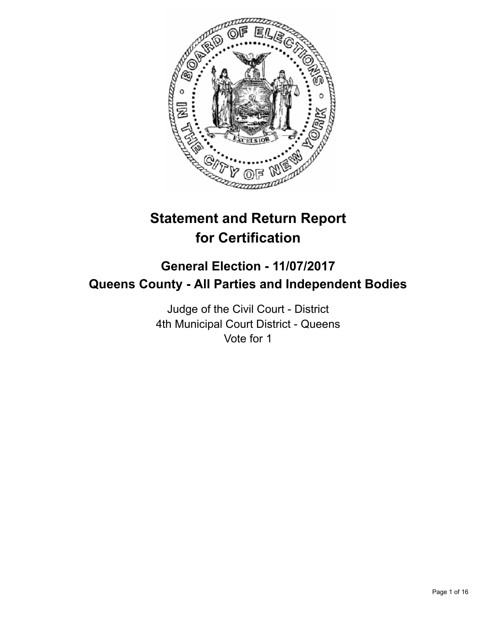

# **Statement and Return Report for Certification**

## **General Election - 11/07/2017 Queens County - All Parties and Independent Bodies**

Judge of the Civil Court - District 4th Municipal Court District - Queens Vote for 1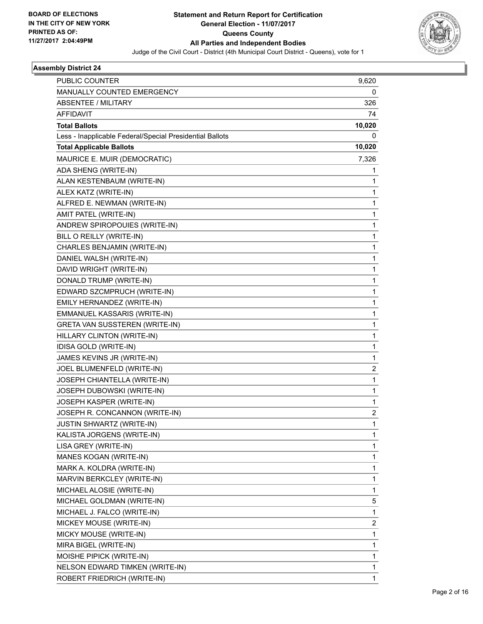

| PUBLIC COUNTER                                           | 9,620       |
|----------------------------------------------------------|-------------|
| MANUALLY COUNTED EMERGENCY                               | 0           |
| ABSENTEE / MILITARY                                      | 326         |
| <b>AFFIDAVIT</b>                                         | 74          |
| <b>Total Ballots</b>                                     | 10,020      |
| Less - Inapplicable Federal/Special Presidential Ballots | 0           |
| <b>Total Applicable Ballots</b>                          | 10,020      |
| MAURICE E. MUIR (DEMOCRATIC)                             | 7,326       |
| ADA SHENG (WRITE-IN)                                     | 1           |
| ALAN KESTENBAUM (WRITE-IN)                               | 1           |
| ALEX KATZ (WRITE-IN)                                     | 1           |
| ALFRED E. NEWMAN (WRITE-IN)                              | 1           |
| AMIT PATEL (WRITE-IN)                                    | 1           |
| ANDREW SPIROPOUIES (WRITE-IN)                            | $\mathbf 1$ |
| BILL O REILLY (WRITE-IN)                                 | 1           |
| CHARLES BENJAMIN (WRITE-IN)                              | 1           |
| DANIEL WALSH (WRITE-IN)                                  | 1           |
| DAVID WRIGHT (WRITE-IN)                                  | 1           |
| DONALD TRUMP (WRITE-IN)                                  | 1           |
| EDWARD SZCMPRUCH (WRITE-IN)                              | $\mathbf 1$ |
| EMILY HERNANDEZ (WRITE-IN)                               | 1           |
| EMMANUEL KASSARIS (WRITE-IN)                             | 1           |
| GRETA VAN SUSSTEREN (WRITE-IN)                           | 1           |
| HILLARY CLINTON (WRITE-IN)                               | 1           |
| IDISA GOLD (WRITE-IN)                                    | 1           |
| JAMES KEVINS JR (WRITE-IN)                               | 1           |
| JOEL BLUMENFELD (WRITE-IN)                               | 2           |
| JOSEPH CHIANTELLA (WRITE-IN)                             | 1           |
| JOSEPH DUBOWSKI (WRITE-IN)                               | 1           |
| JOSEPH KASPER (WRITE-IN)                                 | 1           |
| JOSEPH R. CONCANNON (WRITE-IN)                           | 2           |
| JUSTIN SHWARTZ (WRITE-IN)                                | 1           |
| KALISTA JORGENS (WRITE-IN)                               | 1           |
| LISA GREY (WRITE-IN)                                     | 1           |
| MANES KOGAN (WRITE-IN)                                   | 1           |
| MARK A. KOLDRA (WRITE-IN)                                | 1           |
| MARVIN BERKCLEY (WRITE-IN)                               | 1           |
| MICHAEL ALOSIE (WRITE-IN)                                | 1           |
| MICHAEL GOLDMAN (WRITE-IN)                               | 5           |
| MICHAEL J. FALCO (WRITE-IN)                              | 1           |
| MICKEY MOUSE (WRITE-IN)                                  | 2           |
| MICKY MOUSE (WRITE-IN)                                   | 1           |
| MIRA BIGEL (WRITE-IN)                                    | 1           |
| MOISHE PIPICK (WRITE-IN)                                 | 1           |
| NELSON EDWARD TIMKEN (WRITE-IN)                          | 1           |
| ROBERT FRIEDRICH (WRITE-IN)                              | 1           |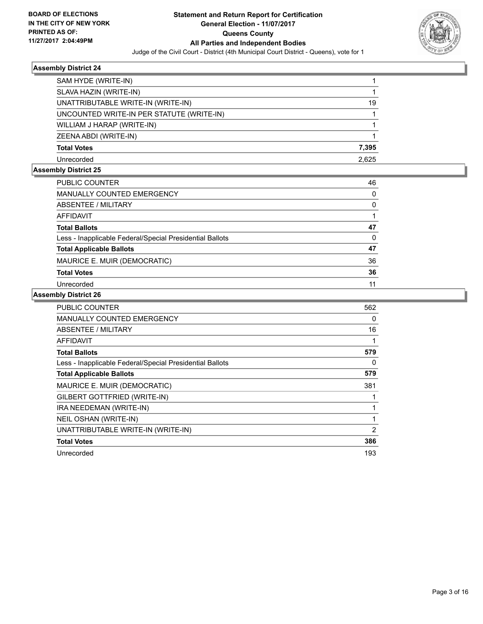

| SAM HYDE (WRITE-IN)                       |       |
|-------------------------------------------|-------|
| SLAVA HAZIN (WRITE-IN)                    |       |
| UNATTRIBUTABLE WRITE-IN (WRITE-IN)        | 19    |
| UNCOUNTED WRITE-IN PER STATUTE (WRITE-IN) |       |
| WILLIAM J HARAP (WRITE-IN)                |       |
| ZEENA ABDI (WRITE-IN)                     |       |
| <b>Total Votes</b>                        | 7,395 |
| Unrecorded                                | 2.625 |

#### **Assembly District 25**

| <b>MANUALLY COUNTED EMERGENCY</b>                        |
|----------------------------------------------------------|
|                                                          |
| ABSENTEE / MILITARY                                      |
| AFFIDAVIT                                                |
| 47<br><b>Total Ballots</b>                               |
| Less - Inapplicable Federal/Special Presidential Ballots |
| 47<br><b>Total Applicable Ballots</b>                    |
| 36<br>MAURICE E. MUIR (DEMOCRATIC)                       |
| 36<br><b>Total Votes</b>                                 |
| Unrecorded<br>11                                         |

| <b>PUBLIC COUNTER</b>                                    | 562 |
|----------------------------------------------------------|-----|
| <b>MANUALLY COUNTED EMERGENCY</b>                        | 0   |
| ABSENTEE / MILITARY                                      | 16  |
| <b>AFFIDAVIT</b>                                         |     |
| <b>Total Ballots</b>                                     | 579 |
| Less - Inapplicable Federal/Special Presidential Ballots | 0   |
| <b>Total Applicable Ballots</b>                          | 579 |
| MAURICE E. MUIR (DEMOCRATIC)                             | 381 |
| GILBERT GOTTFRIED (WRITE-IN)                             |     |
| IRA NEEDEMAN (WRITE-IN)                                  |     |
| NEIL OSHAN (WRITE-IN)                                    |     |
| UNATTRIBUTABLE WRITE-IN (WRITE-IN)                       | 2   |
| <b>Total Votes</b>                                       | 386 |
| Unrecorded                                               | 193 |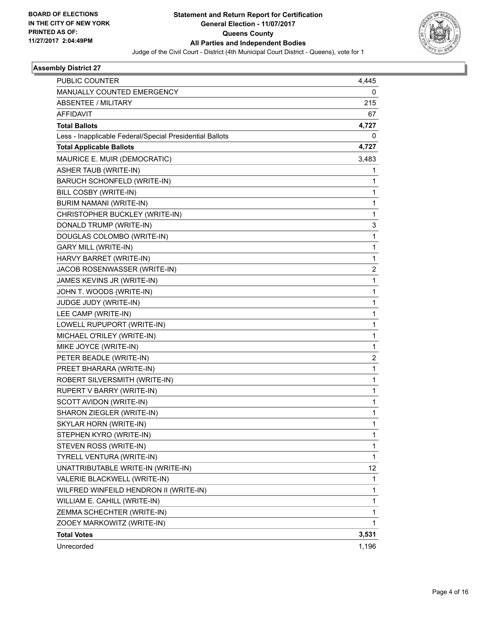

| <b>PUBLIC COUNTER</b>                                    | 4,445        |
|----------------------------------------------------------|--------------|
| MANUALLY COUNTED EMERGENCY                               | 0            |
| ABSENTEE / MILITARY                                      | 215          |
| AFFIDAVIT                                                | 67           |
| <b>Total Ballots</b>                                     | 4,727        |
| Less - Inapplicable Federal/Special Presidential Ballots | 0            |
| <b>Total Applicable Ballots</b>                          | 4,727        |
| MAURICE E. MUIR (DEMOCRATIC)                             | 3,483        |
| <b>ASHER TAUB (WRITE-IN)</b>                             | 1            |
| BARUCH SCHONFELD (WRITE-IN)                              | 1            |
| BILL COSBY (WRITE-IN)                                    | 1            |
| BURIM NAMANI (WRITE-IN)                                  | 1            |
| CHRISTOPHER BUCKLEY (WRITE-IN)                           | 1            |
| DONALD TRUMP (WRITE-IN)                                  | 3            |
| DOUGLAS COLOMBO (WRITE-IN)                               | $\mathbf{1}$ |
| <b>GARY MILL (WRITE-IN)</b>                              | 1            |
| HARVY BARRET (WRITE-IN)                                  | 1            |
| JACOB ROSENWASSER (WRITE-IN)                             | 2            |
| JAMES KEVINS JR (WRITE-IN)                               | 1            |
| JOHN T. WOODS (WRITE-IN)                                 | 1            |
| JUDGE JUDY (WRITE-IN)                                    | 1            |
| LEE CAMP (WRITE-IN)                                      | 1            |
| LOWELL RUPUPORT (WRITE-IN)                               | 1            |
| MICHAEL O'RILEY (WRITE-IN)                               | 1            |
| MIKE JOYCE (WRITE-IN)                                    | 1            |
| PETER BEADLE (WRITE-IN)                                  | 2            |
| PREET BHARARA (WRITE-IN)                                 | $\mathbf 1$  |
| ROBERT SILVERSMITH (WRITE-IN)                            | 1            |
| RUPERT V BARRY (WRITE-IN)                                | 1            |
| SCOTT AVIDON (WRITE-IN)                                  | 1            |
| SHARON ZIEGLER (WRITE-IN)                                | 1            |
| SKYLAR HORN (WRITE-IN)                                   | 1            |
| STEPHEN KYRO (WRITE-IN)                                  | 1            |
| STEVEN ROSS (WRITE-IN)                                   | 1            |
| TYRELL VENTURA (WRITE-IN)                                | 1            |
| UNATTRIBUTABLE WRITE-IN (WRITE-IN)                       | 12           |
| VALERIE BLACKWELL (WRITE-IN)                             | 1            |
| WILFRED WINFEILD HENDRON II (WRITE-IN)                   | 1            |
| WILLIAM E. CAHILL (WRITE-IN)                             | 1            |
| ZEMMA SCHECHTER (WRITE-IN)                               | 1            |
| ZOOEY MARKOWITZ (WRITE-IN)                               | $\mathbf{1}$ |
| <b>Total Votes</b>                                       | 3,531        |
| Unrecorded                                               | 1,196        |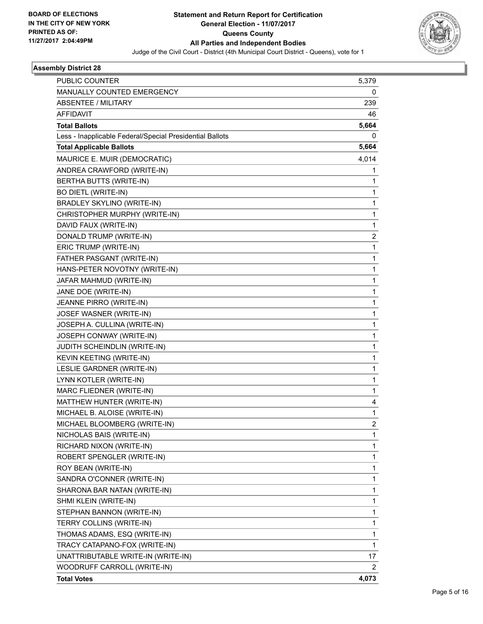

| <b>PUBLIC COUNTER</b>                                    | 5,379          |
|----------------------------------------------------------|----------------|
| MANUALLY COUNTED EMERGENCY                               | 0              |
| ABSENTEE / MILITARY                                      | 239            |
| <b>AFFIDAVIT</b>                                         | 46             |
| <b>Total Ballots</b>                                     | 5,664          |
| Less - Inapplicable Federal/Special Presidential Ballots | 0              |
| <b>Total Applicable Ballots</b>                          | 5,664          |
| MAURICE E. MUIR (DEMOCRATIC)                             | 4,014          |
| ANDREA CRAWFORD (WRITE-IN)                               | 1              |
| BERTHA BUTTS (WRITE-IN)                                  | 1              |
| <b>BO DIETL (WRITE-IN)</b>                               | 1              |
| <b>BRADLEY SKYLINO (WRITE-IN)</b>                        | 1              |
| CHRISTOPHER MURPHY (WRITE-IN)                            | $\mathbf{1}$   |
| DAVID FAUX (WRITE-IN)                                    | 1              |
| DONALD TRUMP (WRITE-IN)                                  | 2              |
| ERIC TRUMP (WRITE-IN)                                    | $\mathbf{1}$   |
| FATHER PASGANT (WRITE-IN)                                | 1              |
| HANS-PETER NOVOTNY (WRITE-IN)                            | 1              |
| JAFAR MAHMUD (WRITE-IN)                                  | $\mathbf{1}$   |
| JANE DOE (WRITE-IN)                                      | 1              |
| JEANNE PIRRO (WRITE-IN)                                  | 1              |
| JOSEF WASNER (WRITE-IN)                                  | 1              |
| JOSEPH A. CULLINA (WRITE-IN)                             | 1              |
| JOSEPH CONWAY (WRITE-IN)                                 | 1              |
| JUDITH SCHEINDLIN (WRITE-IN)                             | $\mathbf{1}$   |
| KEVIN KEETING (WRITE-IN)                                 | 1              |
| LESLIE GARDNER (WRITE-IN)                                | 1              |
| LYNN KOTLER (WRITE-IN)                                   | 1              |
| MARC FLIEDNER (WRITE-IN)                                 | 1              |
| MATTHEW HUNTER (WRITE-IN)                                | 4              |
| MICHAEL B. ALOISE (WRITE-IN)                             | $\mathbf{1}$   |
| MICHAEL BLOOMBERG (WRITE-IN)                             | $\overline{2}$ |
| NICHOLAS BAIS (WRITE-IN)                                 | 1              |
| RICHARD NIXON (WRITE-IN)                                 | 1              |
| ROBERT SPENGLER (WRITE-IN)                               | 1              |
| ROY BEAN (WRITE-IN)                                      | 1              |
| SANDRA O'CONNER (WRITE-IN)                               | 1              |
| SHARONA BAR NATAN (WRITE-IN)                             | 1              |
| SHMI KLEIN (WRITE-IN)                                    | 1              |
| STEPHAN BANNON (WRITE-IN)                                | 1              |
| TERRY COLLINS (WRITE-IN)                                 | 1              |
| THOMAS ADAMS, ESQ (WRITE-IN)                             | 1              |
| TRACY CATAPANO-FOX (WRITE-IN)                            | $\mathbf{1}$   |
| UNATTRIBUTABLE WRITE-IN (WRITE-IN)                       | 17             |
| WOODRUFF CARROLL (WRITE-IN)                              | 2              |
| <b>Total Votes</b>                                       | 4,073          |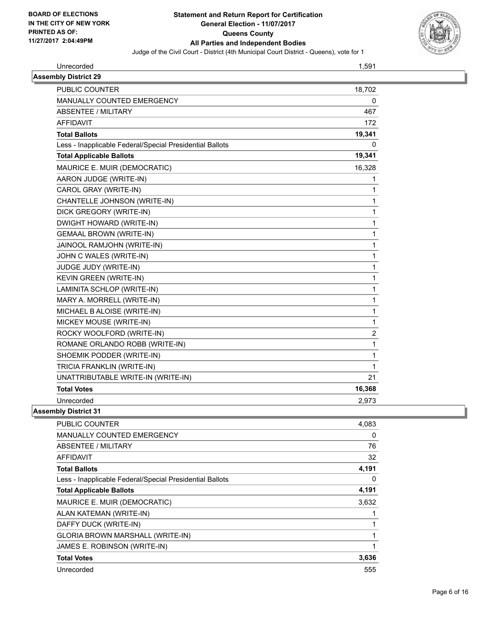

Unrecorded 1,591

| <b>PUBLIC COUNTER</b><br>18,702<br>MANUALLY COUNTED EMERGENCY<br>0<br>ABSENTEE / MILITARY<br>467<br>172<br><b>AFFIDAVIT</b><br>19,341<br><b>Total Ballots</b><br>0<br>Less - Inapplicable Federal/Special Presidential Ballots<br>19,341<br><b>Total Applicable Ballots</b><br>16,328<br>MAURICE E. MUIR (DEMOCRATIC)<br>AARON JUDGE (WRITE-IN)<br>1<br>CAROL GRAY (WRITE-IN)<br>$\mathbf{1}$<br>CHANTELLE JOHNSON (WRITE-IN)<br>$\mathbf{1}$<br>DICK GREGORY (WRITE-IN)<br>$\mathbf{1}$<br><b>DWIGHT HOWARD (WRITE-IN)</b><br>$\mathbf{1}$<br>$\mathbf{1}$<br><b>GEMAAL BROWN (WRITE-IN)</b><br>JAINOOL RAMJOHN (WRITE-IN)<br>$\mathbf{1}$<br>JOHN C WALES (WRITE-IN)<br>$\mathbf{1}$<br>$\mathbf{1}$<br>JUDGE JUDY (WRITE-IN)<br>$\mathbf{1}$<br>KEVIN GREEN (WRITE-IN)<br>$\mathbf{1}$<br>LAMINITA SCHLOP (WRITE-IN)<br>MARY A. MORRELL (WRITE-IN)<br>$\mathbf{1}$<br>MICHAEL B ALOISE (WRITE-IN)<br>$\mathbf{1}$<br>MICKEY MOUSE (WRITE-IN)<br>$\mathbf{1}$<br>ROCKY WOOLFORD (WRITE-IN)<br>$\overline{2}$<br>ROMANE ORLANDO ROBB (WRITE-IN)<br>$\mathbf{1}$<br>SHOEMIK PODDER (WRITE-IN)<br>1<br>TRICIA FRANKLIN (WRITE-IN)<br>$\mathbf{1}$<br>UNATTRIBUTABLE WRITE-IN (WRITE-IN)<br>21<br>16,368<br><b>Total Votes</b><br>Unrecorded<br>2,973 | <b>Assembly District 29</b> |  |
|-----------------------------------------------------------------------------------------------------------------------------------------------------------------------------------------------------------------------------------------------------------------------------------------------------------------------------------------------------------------------------------------------------------------------------------------------------------------------------------------------------------------------------------------------------------------------------------------------------------------------------------------------------------------------------------------------------------------------------------------------------------------------------------------------------------------------------------------------------------------------------------------------------------------------------------------------------------------------------------------------------------------------------------------------------------------------------------------------------------------------------------------------------------------------------------------------------------------------------------------------------|-----------------------------|--|
|                                                                                                                                                                                                                                                                                                                                                                                                                                                                                                                                                                                                                                                                                                                                                                                                                                                                                                                                                                                                                                                                                                                                                                                                                                                     |                             |  |
|                                                                                                                                                                                                                                                                                                                                                                                                                                                                                                                                                                                                                                                                                                                                                                                                                                                                                                                                                                                                                                                                                                                                                                                                                                                     |                             |  |
|                                                                                                                                                                                                                                                                                                                                                                                                                                                                                                                                                                                                                                                                                                                                                                                                                                                                                                                                                                                                                                                                                                                                                                                                                                                     |                             |  |
|                                                                                                                                                                                                                                                                                                                                                                                                                                                                                                                                                                                                                                                                                                                                                                                                                                                                                                                                                                                                                                                                                                                                                                                                                                                     |                             |  |
|                                                                                                                                                                                                                                                                                                                                                                                                                                                                                                                                                                                                                                                                                                                                                                                                                                                                                                                                                                                                                                                                                                                                                                                                                                                     |                             |  |
|                                                                                                                                                                                                                                                                                                                                                                                                                                                                                                                                                                                                                                                                                                                                                                                                                                                                                                                                                                                                                                                                                                                                                                                                                                                     |                             |  |
|                                                                                                                                                                                                                                                                                                                                                                                                                                                                                                                                                                                                                                                                                                                                                                                                                                                                                                                                                                                                                                                                                                                                                                                                                                                     |                             |  |
|                                                                                                                                                                                                                                                                                                                                                                                                                                                                                                                                                                                                                                                                                                                                                                                                                                                                                                                                                                                                                                                                                                                                                                                                                                                     |                             |  |
|                                                                                                                                                                                                                                                                                                                                                                                                                                                                                                                                                                                                                                                                                                                                                                                                                                                                                                                                                                                                                                                                                                                                                                                                                                                     |                             |  |
|                                                                                                                                                                                                                                                                                                                                                                                                                                                                                                                                                                                                                                                                                                                                                                                                                                                                                                                                                                                                                                                                                                                                                                                                                                                     |                             |  |
|                                                                                                                                                                                                                                                                                                                                                                                                                                                                                                                                                                                                                                                                                                                                                                                                                                                                                                                                                                                                                                                                                                                                                                                                                                                     |                             |  |
|                                                                                                                                                                                                                                                                                                                                                                                                                                                                                                                                                                                                                                                                                                                                                                                                                                                                                                                                                                                                                                                                                                                                                                                                                                                     |                             |  |
|                                                                                                                                                                                                                                                                                                                                                                                                                                                                                                                                                                                                                                                                                                                                                                                                                                                                                                                                                                                                                                                                                                                                                                                                                                                     |                             |  |
|                                                                                                                                                                                                                                                                                                                                                                                                                                                                                                                                                                                                                                                                                                                                                                                                                                                                                                                                                                                                                                                                                                                                                                                                                                                     |                             |  |
|                                                                                                                                                                                                                                                                                                                                                                                                                                                                                                                                                                                                                                                                                                                                                                                                                                                                                                                                                                                                                                                                                                                                                                                                                                                     |                             |  |
|                                                                                                                                                                                                                                                                                                                                                                                                                                                                                                                                                                                                                                                                                                                                                                                                                                                                                                                                                                                                                                                                                                                                                                                                                                                     |                             |  |
|                                                                                                                                                                                                                                                                                                                                                                                                                                                                                                                                                                                                                                                                                                                                                                                                                                                                                                                                                                                                                                                                                                                                                                                                                                                     |                             |  |
|                                                                                                                                                                                                                                                                                                                                                                                                                                                                                                                                                                                                                                                                                                                                                                                                                                                                                                                                                                                                                                                                                                                                                                                                                                                     |                             |  |
|                                                                                                                                                                                                                                                                                                                                                                                                                                                                                                                                                                                                                                                                                                                                                                                                                                                                                                                                                                                                                                                                                                                                                                                                                                                     |                             |  |
|                                                                                                                                                                                                                                                                                                                                                                                                                                                                                                                                                                                                                                                                                                                                                                                                                                                                                                                                                                                                                                                                                                                                                                                                                                                     |                             |  |
|                                                                                                                                                                                                                                                                                                                                                                                                                                                                                                                                                                                                                                                                                                                                                                                                                                                                                                                                                                                                                                                                                                                                                                                                                                                     |                             |  |
|                                                                                                                                                                                                                                                                                                                                                                                                                                                                                                                                                                                                                                                                                                                                                                                                                                                                                                                                                                                                                                                                                                                                                                                                                                                     |                             |  |
|                                                                                                                                                                                                                                                                                                                                                                                                                                                                                                                                                                                                                                                                                                                                                                                                                                                                                                                                                                                                                                                                                                                                                                                                                                                     |                             |  |
|                                                                                                                                                                                                                                                                                                                                                                                                                                                                                                                                                                                                                                                                                                                                                                                                                                                                                                                                                                                                                                                                                                                                                                                                                                                     |                             |  |
|                                                                                                                                                                                                                                                                                                                                                                                                                                                                                                                                                                                                                                                                                                                                                                                                                                                                                                                                                                                                                                                                                                                                                                                                                                                     |                             |  |
|                                                                                                                                                                                                                                                                                                                                                                                                                                                                                                                                                                                                                                                                                                                                                                                                                                                                                                                                                                                                                                                                                                                                                                                                                                                     |                             |  |
|                                                                                                                                                                                                                                                                                                                                                                                                                                                                                                                                                                                                                                                                                                                                                                                                                                                                                                                                                                                                                                                                                                                                                                                                                                                     |                             |  |
|                                                                                                                                                                                                                                                                                                                                                                                                                                                                                                                                                                                                                                                                                                                                                                                                                                                                                                                                                                                                                                                                                                                                                                                                                                                     |                             |  |
|                                                                                                                                                                                                                                                                                                                                                                                                                                                                                                                                                                                                                                                                                                                                                                                                                                                                                                                                                                                                                                                                                                                                                                                                                                                     |                             |  |

| <b>PUBLIC COUNTER</b>                                    | 4,083 |
|----------------------------------------------------------|-------|
| <b>MANUALLY COUNTED EMERGENCY</b>                        | 0     |
| ABSENTEE / MILITARY                                      | 76    |
| AFFIDAVIT                                                | 32    |
| <b>Total Ballots</b>                                     | 4,191 |
| Less - Inapplicable Federal/Special Presidential Ballots | 0     |
| <b>Total Applicable Ballots</b>                          | 4,191 |
| MAURICE E. MUIR (DEMOCRATIC)                             | 3,632 |
| ALAN KATEMAN (WRITE-IN)                                  |       |
| DAFFY DUCK (WRITE-IN)                                    |       |
| GLORIA BROWN MARSHALL (WRITE-IN)                         | 1     |
| JAMES E. ROBINSON (WRITE-IN)                             | 1     |
| <b>Total Votes</b>                                       | 3,636 |
| Unrecorded                                               | 555   |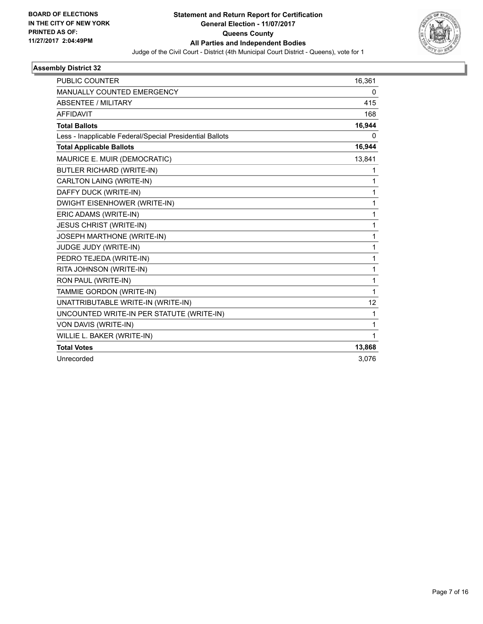

| <b>PUBLIC COUNTER</b>                                    | 16,361 |
|----------------------------------------------------------|--------|
| <b>MANUALLY COUNTED EMERGENCY</b>                        | 0      |
| <b>ABSENTEE / MILITARY</b>                               | 415    |
| <b>AFFIDAVIT</b>                                         | 168    |
| <b>Total Ballots</b>                                     | 16,944 |
| Less - Inapplicable Federal/Special Presidential Ballots | 0      |
| <b>Total Applicable Ballots</b>                          | 16,944 |
| MAURICE E. MUIR (DEMOCRATIC)                             | 13,841 |
| <b>BUTLER RICHARD (WRITE-IN)</b>                         | 1      |
| <b>CARLTON LAING (WRITE-IN)</b>                          | 1      |
| DAFFY DUCK (WRITE-IN)                                    | 1      |
| DWIGHT EISENHOWER (WRITE-IN)                             | 1      |
| ERIC ADAMS (WRITE-IN)                                    | 1      |
| JESUS CHRIST (WRITE-IN)                                  | 1      |
| JOSEPH MARTHONE (WRITE-IN)                               | 1      |
| JUDGE JUDY (WRITE-IN)                                    | 1      |
| PEDRO TEJEDA (WRITE-IN)                                  | 1      |
| RITA JOHNSON (WRITE-IN)                                  | 1      |
| RON PAUL (WRITE-IN)                                      | 1      |
| TAMMIE GORDON (WRITE-IN)                                 | 1      |
| UNATTRIBUTABLE WRITE-IN (WRITE-IN)                       | 12     |
| UNCOUNTED WRITE-IN PER STATUTE (WRITE-IN)                | 1      |
| VON DAVIS (WRITE-IN)                                     | 1      |
| WILLIE L. BAKER (WRITE-IN)                               | 1      |
| <b>Total Votes</b>                                       | 13,868 |
| Unrecorded                                               | 3,076  |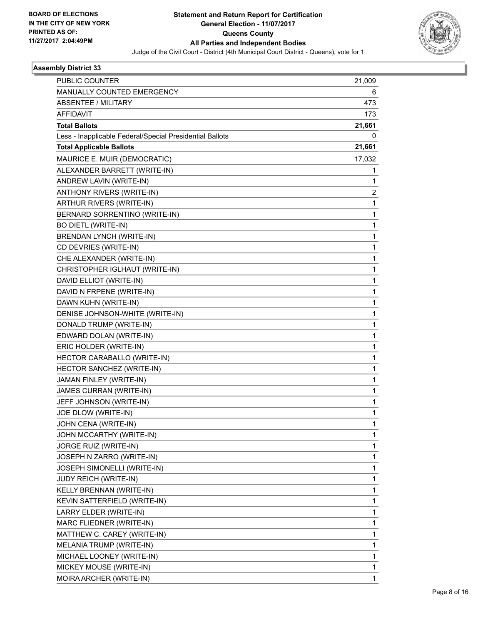

| <b>PUBLIC COUNTER</b>                                    | 21,009 |
|----------------------------------------------------------|--------|
| MANUALLY COUNTED EMERGENCY                               | 6      |
| ABSENTEE / MILITARY                                      | 473    |
| <b>AFFIDAVIT</b>                                         | 173    |
| <b>Total Ballots</b>                                     | 21,661 |
| Less - Inapplicable Federal/Special Presidential Ballots | 0      |
| <b>Total Applicable Ballots</b>                          | 21,661 |
| MAURICE E. MUIR (DEMOCRATIC)                             | 17,032 |
| ALEXANDER BARRETT (WRITE-IN)                             | 1      |
| ANDREW LAVIN (WRITE-IN)                                  | 1      |
| ANTHONY RIVERS (WRITE-IN)                                | 2      |
| ARTHUR RIVERS (WRITE-IN)                                 | 1      |
| BERNARD SORRENTINO (WRITE-IN)                            | 1      |
| <b>BO DIETL (WRITE-IN)</b>                               | 1      |
| <b>BRENDAN LYNCH (WRITE-IN)</b>                          | 1      |
| CD DEVRIES (WRITE-IN)                                    | 1      |
| CHE ALEXANDER (WRITE-IN)                                 | 1      |
| CHRISTOPHER IGLHAUT (WRITE-IN)                           | 1      |
| DAVID ELLIOT (WRITE-IN)                                  | 1      |
| DAVID N FRPENE (WRITE-IN)                                | 1      |
| DAWN KUHN (WRITE-IN)                                     | 1      |
| DENISE JOHNSON-WHITE (WRITE-IN)                          | 1      |
| DONALD TRUMP (WRITE-IN)                                  | 1      |
| EDWARD DOLAN (WRITE-IN)                                  | 1      |
| ERIC HOLDER (WRITE-IN)                                   | 1      |
| HECTOR CARABALLO (WRITE-IN)                              | 1      |
| HECTOR SANCHEZ (WRITE-IN)                                | 1      |
| JAMAN FINLEY (WRITE-IN)                                  | 1      |
| JAMES CURRAN (WRITE-IN)                                  | 1      |
| JEFF JOHNSON (WRITE-IN)                                  | 1      |
| JOE DLOW (WRITE-IN)                                      | 1      |
| JOHN CENA (WRITE-IN)                                     | 1      |
| JOHN MCCARTHY (WRITE-IN)                                 | 1      |
| JORGE RUIZ (WRITE-IN)                                    | 1      |
| JOSEPH N ZARRO (WRITE-IN)                                | 1      |
| JOSEPH SIMONELLI (WRITE-IN)                              | 1      |
| JUDY REICH (WRITE-IN)                                    | 1      |
| KELLY BRENNAN (WRITE-IN)                                 | 1      |
| KEVIN SATTERFIELD (WRITE-IN)                             | 1      |
| LARRY ELDER (WRITE-IN)                                   | 1      |
| MARC FLIEDNER (WRITE-IN)                                 | 1      |
| MATTHEW C. CAREY (WRITE-IN)                              | 1      |
| MELANIA TRUMP (WRITE-IN)                                 | 1      |
| MICHAEL LOONEY (WRITE-IN)                                | 1      |
| MICKEY MOUSE (WRITE-IN)                                  | 1      |
| MOIRA ARCHER (WRITE-IN)                                  | 1      |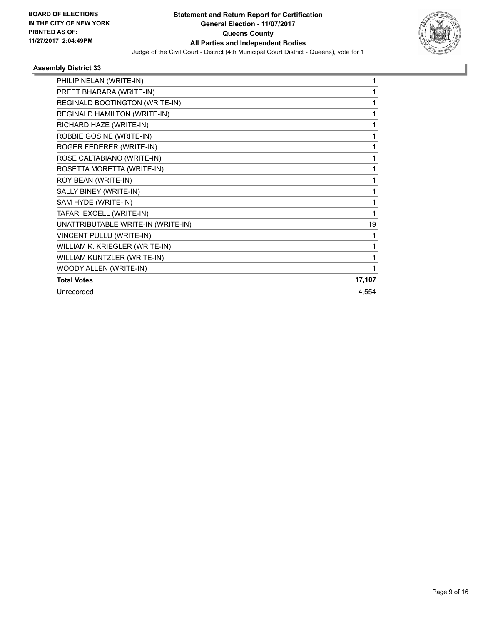

| PHILIP NELAN (WRITE-IN)            | 1      |
|------------------------------------|--------|
| PREET BHARARA (WRITE-IN)           | 1      |
| REGINALD BOOTINGTON (WRITE-IN)     |        |
| REGINALD HAMILTON (WRITE-IN)       | 1      |
| RICHARD HAZE (WRITE-IN)            |        |
| ROBBIE GOSINE (WRITE-IN)           |        |
| ROGER FEDERER (WRITE-IN)           | 1      |
| ROSE CALTABIANO (WRITE-IN)         | 1      |
| ROSETTA MORETTA (WRITE-IN)         | 1      |
| ROY BEAN (WRITE-IN)                | 1      |
| SALLY BINEY (WRITE-IN)             |        |
| SAM HYDE (WRITE-IN)                | 1      |
| TAFARI EXCELL (WRITE-IN)           | 1      |
| UNATTRIBUTABLE WRITE-IN (WRITE-IN) | 19     |
| VINCENT PULLU (WRITE-IN)           | 1      |
| WILLIAM K. KRIEGLER (WRITE-IN)     | 1      |
| WILLIAM KUNTZLER (WRITE-IN)        | 1      |
| WOODY ALLEN (WRITE-IN)             |        |
| <b>Total Votes</b>                 | 17,107 |
| Unrecorded                         | 4,554  |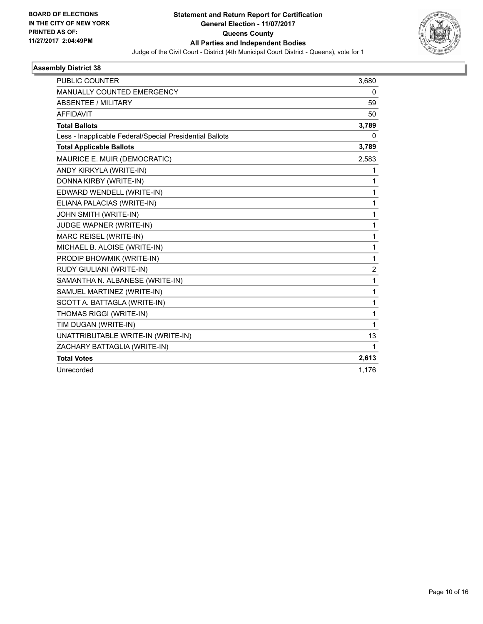

| <b>PUBLIC COUNTER</b>                                    | 3,680            |
|----------------------------------------------------------|------------------|
| MANUALLY COUNTED EMERGENCY                               | 0                |
| ABSENTEE / MILITARY                                      | 59               |
| <b>AFFIDAVIT</b>                                         | 50               |
| <b>Total Ballots</b>                                     | 3,789            |
| Less - Inapplicable Federal/Special Presidential Ballots | 0                |
| <b>Total Applicable Ballots</b>                          | 3,789            |
| MAURICE E. MUIR (DEMOCRATIC)                             | 2,583            |
| ANDY KIRKYLA (WRITE-IN)                                  | 1                |
| DONNA KIRBY (WRITE-IN)                                   | 1                |
| EDWARD WENDELL (WRITE-IN)                                | 1                |
| ELIANA PALACIAS (WRITE-IN)                               | 1                |
| JOHN SMITH (WRITE-IN)                                    | 1                |
| JUDGE WAPNER (WRITE-IN)                                  | 1                |
| MARC REISEL (WRITE-IN)                                   | 1                |
| MICHAEL B. ALOISE (WRITE-IN)                             | 1                |
| PRODIP BHOWMIK (WRITE-IN)                                | 1                |
| RUDY GIULIANI (WRITE-IN)                                 | $\boldsymbol{2}$ |
| SAMANTHA N. ALBANESE (WRITE-IN)                          | 1                |
| SAMUEL MARTINEZ (WRITE-IN)                               | 1                |
| SCOTT A. BATTAGLA (WRITE-IN)                             | 1                |
| THOMAS RIGGI (WRITE-IN)                                  | 1                |
| TIM DUGAN (WRITE-IN)                                     | 1                |
| UNATTRIBUTABLE WRITE-IN (WRITE-IN)                       | 13               |
| ZACHARY BATTAGLIA (WRITE-IN)                             | 1                |
| <b>Total Votes</b>                                       | 2,613            |
| Unrecorded                                               | 1,176            |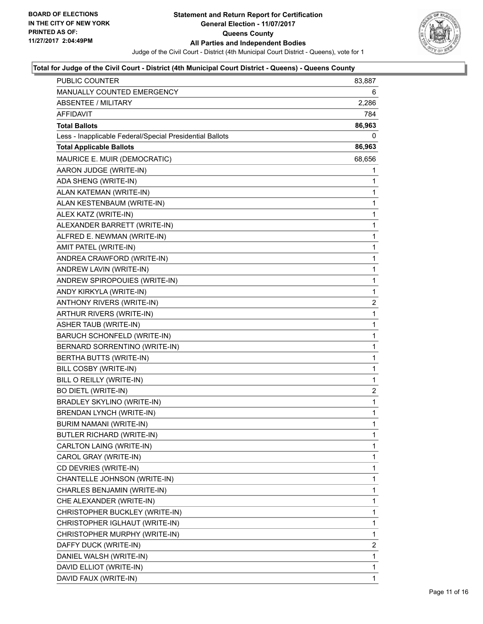

| <b>PUBLIC COUNTER</b>                                    | 83,887         |
|----------------------------------------------------------|----------------|
| <b>MANUALLY COUNTED EMERGENCY</b>                        | 6              |
| <b>ABSENTEE / MILITARY</b>                               | 2,286          |
| AFFIDAVIT                                                | 784            |
| <b>Total Ballots</b>                                     | 86,963         |
| Less - Inapplicable Federal/Special Presidential Ballots | 0              |
| <b>Total Applicable Ballots</b>                          | 86,963         |
| MAURICE E. MUIR (DEMOCRATIC)                             | 68,656         |
| AARON JUDGE (WRITE-IN)                                   | 1              |
| ADA SHENG (WRITE-IN)                                     | 1              |
| ALAN KATEMAN (WRITE-IN)                                  | 1              |
| ALAN KESTENBAUM (WRITE-IN)                               | 1              |
| ALEX KATZ (WRITE-IN)                                     | 1              |
| ALEXANDER BARRETT (WRITE-IN)                             | 1              |
| ALFRED E. NEWMAN (WRITE-IN)                              | 1              |
| AMIT PATEL (WRITE-IN)                                    | 1              |
| ANDREA CRAWFORD (WRITE-IN)                               | 1              |
| ANDREW LAVIN (WRITE-IN)                                  | 1              |
| ANDREW SPIROPOUIES (WRITE-IN)                            | 1              |
| ANDY KIRKYLA (WRITE-IN)                                  | 1              |
| ANTHONY RIVERS (WRITE-IN)                                | 2              |
| ARTHUR RIVERS (WRITE-IN)                                 | 1              |
| <b>ASHER TAUB (WRITE-IN)</b>                             | 1              |
| <b>BARUCH SCHONFELD (WRITE-IN)</b>                       | 1              |
| BERNARD SORRENTINO (WRITE-IN)                            | 1              |
| BERTHA BUTTS (WRITE-IN)                                  | 1              |
| BILL COSBY (WRITE-IN)                                    | 1              |
| BILL O REILLY (WRITE-IN)                                 | 1              |
| <b>BO DIETL (WRITE-IN)</b>                               | $\overline{c}$ |
| BRADLEY SKYLINO (WRITE-IN)                               | 1              |
| <b>BRENDAN LYNCH (WRITE-IN)</b>                          | 1              |
| BURIM NAMANI (WRITE-IN)                                  | $\mathbf{1}$   |
| BUTLER RICHARD (WRITE-IN)                                | 1              |
| CARLTON LAING (WRITE-IN)                                 | 1              |
| CAROL GRAY (WRITE-IN)                                    | 1              |
| CD DEVRIES (WRITE-IN)                                    | 1              |
| CHANTELLE JOHNSON (WRITE-IN)                             | 1              |
| CHARLES BENJAMIN (WRITE-IN)                              | 1              |
| CHE ALEXANDER (WRITE-IN)                                 | 1              |
| CHRISTOPHER BUCKLEY (WRITE-IN)                           | 1              |
| CHRISTOPHER IGLHAUT (WRITE-IN)                           | 1              |
| CHRISTOPHER MURPHY (WRITE-IN)                            | 1              |
| DAFFY DUCK (WRITE-IN)                                    | 2              |
| DANIEL WALSH (WRITE-IN)                                  | 1              |
| DAVID ELLIOT (WRITE-IN)                                  | 1              |
| DAVID FAUX (WRITE-IN)                                    | 1              |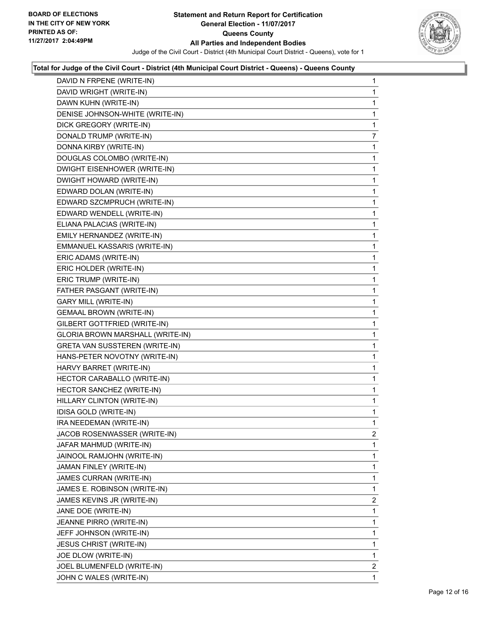

| DAVID N FRPENE (WRITE-IN)             | 1              |
|---------------------------------------|----------------|
| DAVID WRIGHT (WRITE-IN)               | 1              |
| DAWN KUHN (WRITE-IN)                  | 1              |
| DENISE JOHNSON-WHITE (WRITE-IN)       | 1              |
| DICK GREGORY (WRITE-IN)               | 1              |
| DONALD TRUMP (WRITE-IN)               | 7              |
| DONNA KIRBY (WRITE-IN)                | 1              |
| DOUGLAS COLOMBO (WRITE-IN)            | 1              |
| DWIGHT EISENHOWER (WRITE-IN)          | 1              |
| DWIGHT HOWARD (WRITE-IN)              | 1              |
| EDWARD DOLAN (WRITE-IN)               | 1              |
| EDWARD SZCMPRUCH (WRITE-IN)           | 1              |
| EDWARD WENDELL (WRITE-IN)             | 1              |
| ELIANA PALACIAS (WRITE-IN)            | 1              |
| EMILY HERNANDEZ (WRITE-IN)            | 1              |
| EMMANUEL KASSARIS (WRITE-IN)          | 1              |
| ERIC ADAMS (WRITE-IN)                 | 1              |
| ERIC HOLDER (WRITE-IN)                | 1              |
| ERIC TRUMP (WRITE-IN)                 | 1              |
| FATHER PASGANT (WRITE-IN)             | 1              |
| <b>GARY MILL (WRITE-IN)</b>           | 1              |
| <b>GEMAAL BROWN (WRITE-IN)</b>        | 1              |
| GILBERT GOTTFRIED (WRITE-IN)          | 1              |
| GLORIA BROWN MARSHALL (WRITE-IN)      | 1              |
| <b>GRETA VAN SUSSTEREN (WRITE-IN)</b> | 1              |
| HANS-PETER NOVOTNY (WRITE-IN)         | 1              |
| HARVY BARRET (WRITE-IN)               | 1              |
| HECTOR CARABALLO (WRITE-IN)           | 1              |
| HECTOR SANCHEZ (WRITE-IN)             | 1              |
| HILLARY CLINTON (WRITE-IN)            | 1              |
| <b>IDISA GOLD (WRITE-IN)</b>          | 1              |
| IRA NEEDEMAN (WRITE-IN)               | 1              |
| JACOB ROSENWASSER (WRITE-IN)          | 2              |
| JAFAR MAHMUD (WRITE-IN)               | 1              |
| JAINOOL RAMJOHN (WRITE-IN)            | 1              |
| JAMAN FINLEY (WRITE-IN)               | 1              |
| JAMES CURRAN (WRITE-IN)               | 1              |
| JAMES E. ROBINSON (WRITE-IN)          | 1              |
| JAMES KEVINS JR (WRITE-IN)            | $\mathbf{2}$   |
| JANE DOE (WRITE-IN)                   | 1              |
| JEANNE PIRRO (WRITE-IN)               | 1              |
| JEFF JOHNSON (WRITE-IN)               | 1              |
| <b>JESUS CHRIST (WRITE-IN)</b>        | 1              |
| JOE DLOW (WRITE-IN)                   | 1              |
| JOEL BLUMENFELD (WRITE-IN)            | $\overline{2}$ |
| JOHN C WALES (WRITE-IN)               | $\mathbf 1$    |
|                                       |                |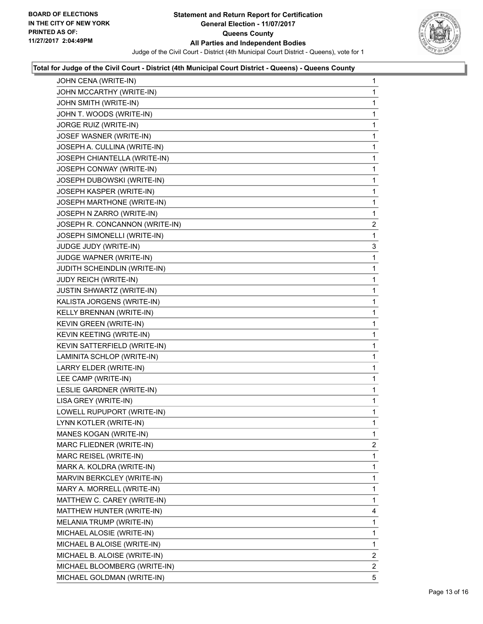

| JOHN CENA (WRITE-IN)             | 1              |
|----------------------------------|----------------|
| JOHN MCCARTHY (WRITE-IN)         | 1              |
| JOHN SMITH (WRITE-IN)            | 1              |
| JOHN T. WOODS (WRITE-IN)         | 1              |
| JORGE RUIZ (WRITE-IN)            | 1              |
| JOSEF WASNER (WRITE-IN)          | 1              |
| JOSEPH A. CULLINA (WRITE-IN)     | 1              |
| JOSEPH CHIANTELLA (WRITE-IN)     | 1              |
| JOSEPH CONWAY (WRITE-IN)         | 1              |
| JOSEPH DUBOWSKI (WRITE-IN)       | 1              |
| JOSEPH KASPER (WRITE-IN)         | 1              |
| JOSEPH MARTHONE (WRITE-IN)       | 1              |
| JOSEPH N ZARRO (WRITE-IN)        | 1              |
| JOSEPH R. CONCANNON (WRITE-IN)   | $\overline{c}$ |
| JOSEPH SIMONELLI (WRITE-IN)      | 1              |
| JUDGE JUDY (WRITE-IN)            | 3              |
| JUDGE WAPNER (WRITE-IN)          | 1              |
| JUDITH SCHEINDLIN (WRITE-IN)     | 1              |
| JUDY REICH (WRITE-IN)            | 1              |
| <b>JUSTIN SHWARTZ (WRITE-IN)</b> | 1              |
| KALISTA JORGENS (WRITE-IN)       | 1              |
| KELLY BRENNAN (WRITE-IN)         | 1              |
| KEVIN GREEN (WRITE-IN)           | 1              |
| KEVIN KEETING (WRITE-IN)         | 1              |
| KEVIN SATTERFIELD (WRITE-IN)     | 1              |
| LAMINITA SCHLOP (WRITE-IN)       | 1              |
| LARRY ELDER (WRITE-IN)           | 1              |
| LEE CAMP (WRITE-IN)              | 1              |
| LESLIE GARDNER (WRITE-IN)        | 1              |
| LISA GREY (WRITE-IN)             | 1              |
| LOWELL RUPUPORT (WRITE-IN)       | 1              |
| LYNN KOTLER (WRITE-IN)           | 1              |
| MANES KOGAN (WRITE-IN)           | 1              |
| MARC FLIEDNER (WRITE-IN)         | $\overline{2}$ |
| MARC REISEL (WRITE-IN)           | 1              |
| MARK A. KOLDRA (WRITE-IN)        | 1              |
| MARVIN BERKCLEY (WRITE-IN)       | 1              |
| MARY A. MORRELL (WRITE-IN)       | 1              |
| MATTHEW C. CAREY (WRITE-IN)      | 1              |
| MATTHEW HUNTER (WRITE-IN)        | 4              |
| MELANIA TRUMP (WRITE-IN)         | 1              |
| MICHAEL ALOSIE (WRITE-IN)        | 1              |
| MICHAEL B ALOISE (WRITE-IN)      | 1              |
| MICHAEL B. ALOISE (WRITE-IN)     | 2              |
| MICHAEL BLOOMBERG (WRITE-IN)     | 2              |
| MICHAEL GOLDMAN (WRITE-IN)       | 5              |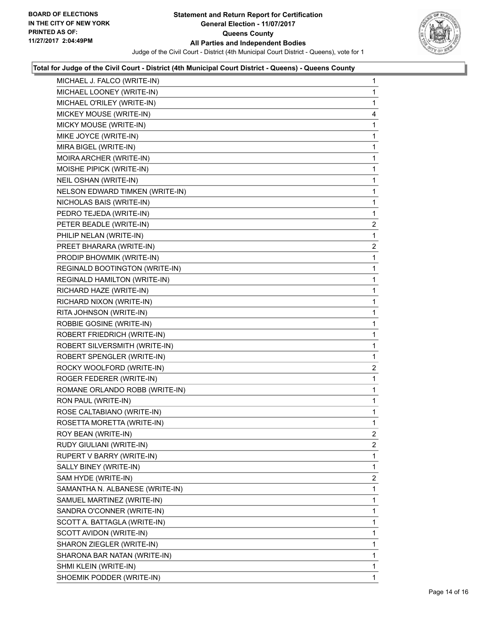

| MICHAEL J. FALCO (WRITE-IN)     | 1              |
|---------------------------------|----------------|
| MICHAEL LOONEY (WRITE-IN)       | 1              |
| MICHAEL O'RILEY (WRITE-IN)      | 1              |
| MICKEY MOUSE (WRITE-IN)         | 4              |
| MICKY MOUSE (WRITE-IN)          | 1              |
| MIKE JOYCE (WRITE-IN)           | 1              |
| MIRA BIGEL (WRITE-IN)           | 1              |
| MOIRA ARCHER (WRITE-IN)         | 1              |
| MOISHE PIPICK (WRITE-IN)        | 1              |
| <b>NEIL OSHAN (WRITE-IN)</b>    | 1              |
| NELSON EDWARD TIMKEN (WRITE-IN) | 1              |
| NICHOLAS BAIS (WRITE-IN)        | 1              |
| PEDRO TEJEDA (WRITE-IN)         | 1              |
| PETER BEADLE (WRITE-IN)         | $\overline{c}$ |
| PHILIP NELAN (WRITE-IN)         | 1              |
| PREET BHARARA (WRITE-IN)        | 2              |
| PRODIP BHOWMIK (WRITE-IN)       | 1              |
| REGINALD BOOTINGTON (WRITE-IN)  | 1              |
| REGINALD HAMILTON (WRITE-IN)    | 1              |
| RICHARD HAZE (WRITE-IN)         | 1              |
| RICHARD NIXON (WRITE-IN)        | 1              |
| RITA JOHNSON (WRITE-IN)         | 1              |
| ROBBIE GOSINE (WRITE-IN)        | 1              |
| ROBERT FRIEDRICH (WRITE-IN)     | 1              |
| ROBERT SILVERSMITH (WRITE-IN)   | 1              |
| ROBERT SPENGLER (WRITE-IN)      | 1              |
| ROCKY WOOLFORD (WRITE-IN)       | $\overline{c}$ |
| ROGER FEDERER (WRITE-IN)        | 1              |
| ROMANE ORLANDO ROBB (WRITE-IN)  | 1              |
| RON PAUL (WRITE-IN)             | 1              |
| ROSE CALTABIANO (WRITE-IN)      | 1              |
| ROSETTA MORETTA (WRITE-IN)      | 1              |
| ROY BEAN (WRITE-IN)             | 2              |
| RUDY GIULIANI (WRITE-IN)        | 2              |
| RUPERT V BARRY (WRITE-IN)       | 1              |
| SALLY BINEY (WRITE-IN)          | 1              |
| SAM HYDE (WRITE-IN)             | $\overline{2}$ |
| SAMANTHA N. ALBANESE (WRITE-IN) | 1              |
| SAMUEL MARTINEZ (WRITE-IN)      | 1              |
| SANDRA O'CONNER (WRITE-IN)      | 1              |
| SCOTT A. BATTAGLA (WRITE-IN)    | 1              |
| SCOTT AVIDON (WRITE-IN)         | 1              |
| SHARON ZIEGLER (WRITE-IN)       | 1              |
| SHARONA BAR NATAN (WRITE-IN)    | 1              |
| SHMI KLEIN (WRITE-IN)           | 1              |
| SHOEMIK PODDER (WRITE-IN)       | 1              |
|                                 |                |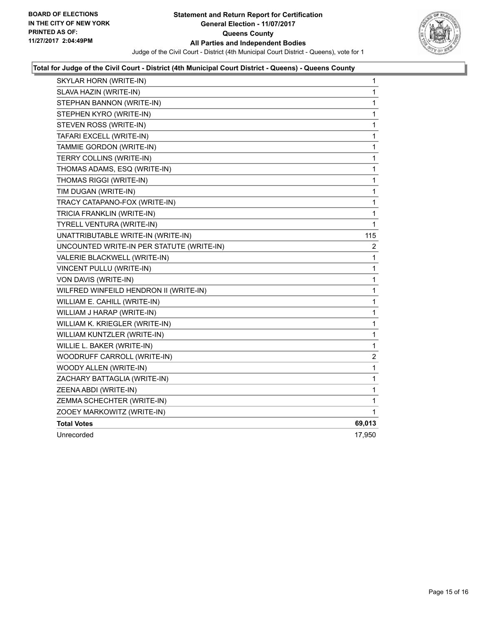

| SKYLAR HORN (WRITE-IN)                    | $\mathbf{1}$   |
|-------------------------------------------|----------------|
| SLAVA HAZIN (WRITE-IN)                    | $\mathbf{1}$   |
| STEPHAN BANNON (WRITE-IN)                 | 1              |
| STEPHEN KYRO (WRITE-IN)                   | 1              |
| STEVEN ROSS (WRITE-IN)                    | 1              |
| TAFARI EXCELL (WRITE-IN)                  | 1              |
| TAMMIE GORDON (WRITE-IN)                  | 1              |
| TERRY COLLINS (WRITE-IN)                  | 1              |
| THOMAS ADAMS, ESQ (WRITE-IN)              | 1              |
| THOMAS RIGGI (WRITE-IN)                   | 1              |
| TIM DUGAN (WRITE-IN)                      | 1              |
| TRACY CATAPANO-FOX (WRITE-IN)             | 1              |
| TRICIA FRANKLIN (WRITE-IN)                | 1              |
| TYRELL VENTURA (WRITE-IN)                 | 1              |
| UNATTRIBUTABLE WRITE-IN (WRITE-IN)        | 115            |
| UNCOUNTED WRITE-IN PER STATUTE (WRITE-IN) | 2              |
| VALERIE BLACKWELL (WRITE-IN)              | 1              |
| VINCENT PULLU (WRITE-IN)                  | 1              |
| VON DAVIS (WRITE-IN)                      | 1              |
| WILFRED WINFEILD HENDRON II (WRITE-IN)    | 1              |
| WILLIAM E. CAHILL (WRITE-IN)              | 1              |
| WILLIAM J HARAP (WRITE-IN)                | 1              |
| WILLIAM K. KRIEGLER (WRITE-IN)            | 1              |
| WILLIAM KUNTZLER (WRITE-IN)               | 1              |
| WILLIE L. BAKER (WRITE-IN)                | 1              |
| WOODRUFF CARROLL (WRITE-IN)               | $\overline{2}$ |
| WOODY ALLEN (WRITE-IN)                    | 1              |
| ZACHARY BATTAGLIA (WRITE-IN)              | 1              |
| ZEENA ABDI (WRITE-IN)                     | 1              |
| ZEMMA SCHECHTER (WRITE-IN)                | 1              |
| ZOOEY MARKOWITZ (WRITE-IN)                | 1              |
| <b>Total Votes</b>                        | 69,013         |
| Unrecorded                                | 17,950         |